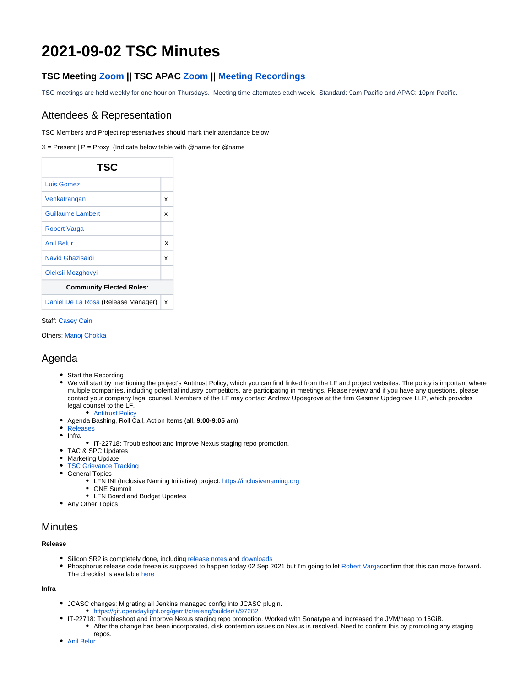# **2021-09-02 TSC Minutes**

# **TSC Meeting [Zoom](https://zoom.us/j/219174946?pwd=aW9uSXl0KzJpcjRXY3l1bWIwdG9KZz09) || TSC APAC [Zoom](https://zoom.us/j/657152618?pwd=cU9MR3daMkU5dnhaektTMkxXWEErUT09) || [Meeting Recordings](http://r.lfnetworking.org/?prefix=lfn-zoom/OpenDaylight/TSC/)**

TSC meetings are held weekly for one hour on Thursdays. Meeting time alternates each week. Standard: 9am Pacific and APAC: 10pm Pacific.

### Attendees & Representation

TSC Members and Project representatives should mark their attendance below

 $X =$  Present | P = Proxy (Indicate below table with @name for @name

| TSC                                 |   |
|-------------------------------------|---|
| Luis Gomez                          |   |
| Venkatrangan                        | x |
| <b>Guillaume Lambert</b>            | x |
| <b>Robert Varga</b>                 |   |
| <b>Anil Belur</b>                   | x |
| Navid Ghazisaidi                    | x |
| Oleksii Mozghovyi                   |   |
| <b>Community Elected Roles:</b>     |   |
| Daniel De La Rosa (Release Manager) | x |

Staff: [Casey Cain](https://wiki.opendaylight.org/display/~CaseyCain)

Others: [Manoj Chokka](https://wiki.opendaylight.org/display/~cmanoj)

# Agenda

- Start the Recording
- We will start by mentioning the project's Antitrust Policy, which you can find linked from the LF and project websites. The policy is important where multiple companies, including potential industry competitors, are participating in meetings. Please review and if you have any questions, please contact your company legal counsel. Members of the LF may contact Andrew Updegrove at the firm Gesmer Updegrove LLP, which provides legal counsel to the LF.
	- [Antitrust Policy](https://r.lfnetworking.org/Antitrust%20Slide.pdf)
- Agenda Bashing, Roll Call, Action Items (all, **9:00-9:05 am**)
- [Releases](https://wiki.opendaylight.org/display/ODL/Release+Information)
- $\bullet$  Infra
- IT-22718: Troubleshoot and improve Nexus staging repo promotion.
- TAC & SPC Updates
- Marketing Update
- [TSC Grievance Tracking](https://wiki.opendaylight.org/display/ODL/TSC+Grievance+Tracking)
- General Topics
	- LFN INI (Inclusive Naming Initiative) project:<https://inclusivenaming.org>
	- ONE Summit
	- LFN Board and Budget Updates
- Any Other Topics

### **Minutes**

#### **Release**

- Silicon SR2 is completely done, including [release notes](https://docs.opendaylight.org/en/stable-silicon/release-notes/release-notes-silicon-sr2.html) and downloads
- Phosphorus release code freeze is supposed to happen today 02 Sep 2021 but I'm going to let [Robert Varga](https://wiki.opendaylight.org/display/~rovarga)confirm that this can move forward. The checklist is available [here](https://wiki.opendaylight.org/display/ODL/Phosphorus+Formal+Release+Checklist)

**Infra**

- JCASC changes: Migrating all Jenkins managed config into JCASC plugin. <https://git.opendaylight.org/gerrit/c/releng/builder/+/97282>
- IT-22718: Troubleshoot and improve Nexus staging repo promotion. Worked with Sonatype and increased the JVM/heap to 16GiB. After the change has been incorporated, disk contention issues on Nexus is resolved. Need to confirm this by promoting any staging repos.
- [Anil Belur](https://wiki.opendaylight.org/display/~askb)